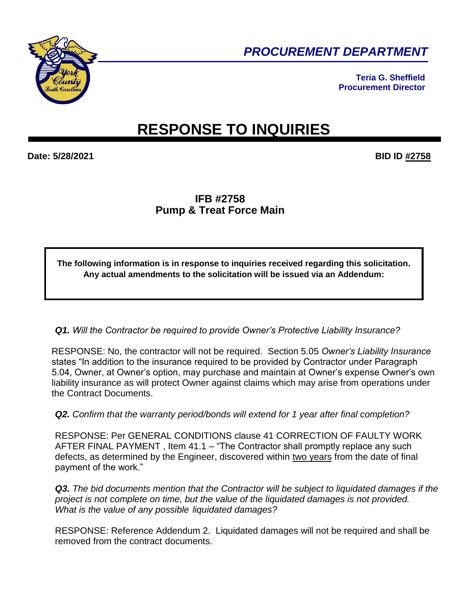

*PROCUREMENT DEPARTMENT* 

**Teria G. Sheffield Procurement Director**

# **RESPONSE TO INQUIRIES**

**Date: 5/28/2021 BID ID #2758**

## **IFB #2758 Pump & Treat Force Main**

**The following information is in response to inquiries received regarding this solicitation. Any actual amendments to the solicitation will be issued via an Addendum:**

*Q1. Will the Contractor be required to provide Owner's Protective Liability Insurance?*

RESPONSE: No, the contractor will not be required. Section 5.05 *Owner's Liability Insurance* states "In addition to the insurance required to be provided by Contractor under Paragraph 5.04, Owner, at Owner's option, may purchase and maintain at Owner's expense Owner's own liability insurance as will protect Owner against claims which may arise from operations under the Contract Documents.

*Q2. Confirm that the warranty period/bonds will extend for 1 year after final completion?*

RESPONSE: Per GENERAL CONDITIONS clause 41 CORRECTION OF FAULTY WORK AFTER FINAL PAYMENT , Item 41.1 – "The Contractor shall promptly replace any such defects, as determined by the Engineer, discovered within two years from the date of final payment of the work."

*Q3. The bid documents mention that the Contractor will be subject to liquidated damages if the project is not complete on time, but the value of the liquidated damages is not provided. What is the value of any possible liquidated damages?*

RESPONSE: Reference Addendum 2. Liquidated damages will not be required and shall be removed from the contract documents.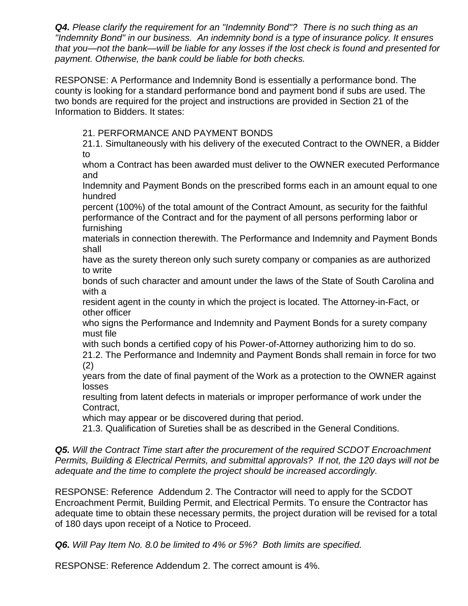*Q4. Please clarify the requirement for an "Indemnity Bond"? There is no such thing as an "Indemnity Bond" in our business. An indemnity bond is a type of insurance policy. It ensures that you—not the bank—will be liable for any losses if the lost check is found and presented for payment. Otherwise, the bank could be liable for both checks.*

RESPONSE: A Performance and Indemnity Bond is essentially a performance bond. The county is looking for a standard performance bond and payment bond if subs are used. The two bonds are required for the project and instructions are provided in Section 21 of the Information to Bidders. It states:

21. PERFORMANCE AND PAYMENT BONDS

21.1. Simultaneously with his delivery of the executed Contract to the OWNER, a Bidder to

whom a Contract has been awarded must deliver to the OWNER executed Performance and

Indemnity and Payment Bonds on the prescribed forms each in an amount equal to one hundred

percent (100%) of the total amount of the Contract Amount, as security for the faithful performance of the Contract and for the payment of all persons performing labor or furnishing

materials in connection therewith. The Performance and Indemnity and Payment Bonds shall

have as the surety thereon only such surety company or companies as are authorized to write

bonds of such character and amount under the laws of the State of South Carolina and with a

resident agent in the county in which the project is located. The Attorney-in-Fact, or other officer

who signs the Performance and Indemnity and Payment Bonds for a surety company must file

with such bonds a certified copy of his Power-of-Attorney authorizing him to do so.

21.2. The Performance and Indemnity and Payment Bonds shall remain in force for two (2)

years from the date of final payment of the Work as a protection to the OWNER against losses

resulting from latent defects in materials or improper performance of work under the Contract,

which may appear or be discovered during that period.

21.3. Qualification of Sureties shall be as described in the General Conditions.

*Q5. Will the Contract Time start after the procurement of the required SCDOT Encroachment Permits, Building & Electrical Permits, and submittal approvals? If not, the 120 days will not be adequate and the time to complete the project should be increased accordingly.*

RESPONSE: Reference Addendum 2. The Contractor will need to apply for the SCDOT Encroachment Permit, Building Permit, and Electrical Permits. To ensure the Contractor has adequate time to obtain these necessary permits, the project duration will be revised for a total of 180 days upon receipt of a Notice to Proceed.

*Q6. Will Pay Item No. 8.0 be limited to 4% or 5%? Both limits are specified.*

RESPONSE: Reference Addendum 2. The correct amount is 4%.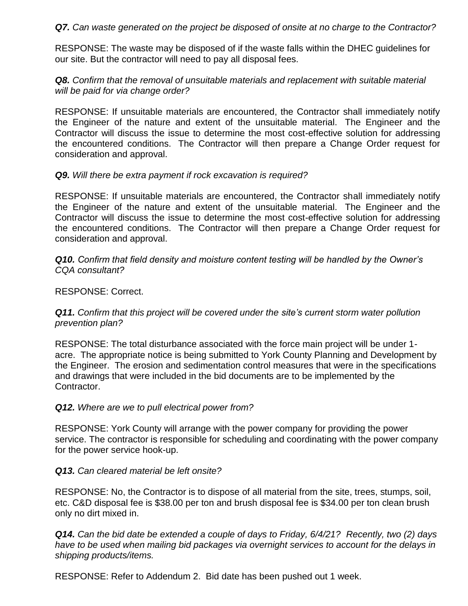#### *Q7. Can waste generated on the project be disposed of onsite at no charge to the Contractor?*

RESPONSE: The waste may be disposed of if the waste falls within the DHEC guidelines for our site. But the contractor will need to pay all disposal fees.

#### *Q8. Confirm that the removal of unsuitable materials and replacement with suitable material will be paid for via change order?*

RESPONSE: If unsuitable materials are encountered, the Contractor shall immediately notify the Engineer of the nature and extent of the unsuitable material. The Engineer and the Contractor will discuss the issue to determine the most cost-effective solution for addressing the encountered conditions. The Contractor will then prepare a Change Order request for consideration and approval.

#### *Q9. Will there be extra payment if rock excavation is required?*

RESPONSE: If unsuitable materials are encountered, the Contractor shall immediately notify the Engineer of the nature and extent of the unsuitable material. The Engineer and the Contractor will discuss the issue to determine the most cost-effective solution for addressing the encountered conditions. The Contractor will then prepare a Change Order request for consideration and approval.

*Q10. Confirm that field density and moisture content testing will be handled by the Owner's CQA consultant?*

RESPONSE: Correct.

#### **Q11.** Confirm that this project will be covered under the site's current storm water pollution *prevention plan?*

RESPONSE: The total disturbance associated with the force main project will be under 1 acre. The appropriate notice is being submitted to York County Planning and Development by the Engineer. The erosion and sedimentation control measures that were in the specifications and drawings that were included in the bid documents are to be implemented by the Contractor.

### *Q12. Where are we to pull electrical power from?*

RESPONSE: York County will arrange with the power company for providing the power service. The contractor is responsible for scheduling and coordinating with the power company for the power service hook-up.

#### *Q13. Can cleared material be left onsite?*

RESPONSE: No, the Contractor is to dispose of all material from the site, trees, stumps, soil, etc. C&D disposal fee is \$38.00 per ton and brush disposal fee is \$34.00 per ton clean brush only no dirt mixed in.

*Q14. Can the bid date be extended a couple of days to Friday, 6/4/21? Recently, two (2) days have to be used when mailing bid packages via overnight services to account for the delays in shipping products/items.*

RESPONSE: Refer to Addendum 2. Bid date has been pushed out 1 week.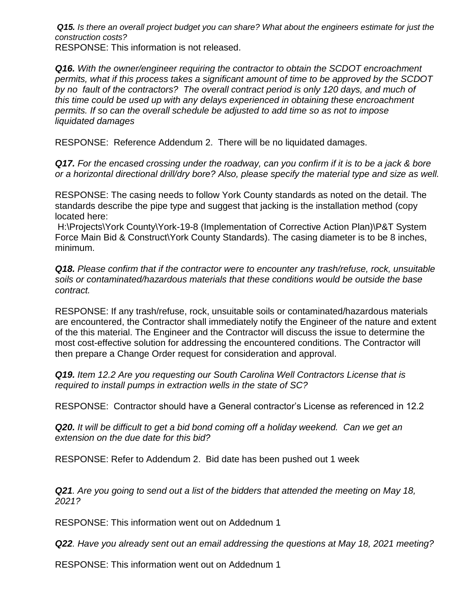*Q15. Is there an overall project budget you can share? What about the engineers estimate for just the construction costs?*

RESPONSE: This information is not released.

*Q16. With the owner/engineer requiring the contractor to obtain the SCDOT encroachment permits, what if this process takes a significant amount of time to be approved by the SCDOT by no fault of the contractors? The overall contract period is only 120 days, and much of this time could be used up with any delays experienced in obtaining these encroachment permits. If so can the overall schedule be adjusted to add time so as not to impose liquidated damages* 

RESPONSE: Reference Addendum 2. There will be no liquidated damages.

*Q17. For the encased crossing under the roadway, can you confirm if it is to be a jack & bore or a horizontal directional drill/dry bore? Also, please specify the material type and size as well.*

RESPONSE: The casing needs to follow York County standards as noted on the detail. The standards describe the pipe type and suggest that jacking is the installation method (copy located here:

H:\Projects\York County\York-19-8 (Implementation of Corrective Action Plan)\P&T System Force Main Bid & Construct\York County Standards). The casing diameter is to be 8 inches, minimum.

*Q18. Please confirm that if the contractor were to encounter any trash/refuse, rock, unsuitable soils or contaminated/hazardous materials that these conditions would be outside the base contract.*

RESPONSE: If any trash/refuse, rock, unsuitable soils or contaminated/hazardous materials are encountered, the Contractor shall immediately notify the Engineer of the nature and extent of the this material. The Engineer and the Contractor will discuss the issue to determine the most cost-effective solution for addressing the encountered conditions. The Contractor will then prepare a Change Order request for consideration and approval.

*Q19. Item 12.2 Are you requesting our South Carolina Well Contractors License that is required to install pumps in extraction wells in the state of SC?* 

RESPONSE: Contractor should have a General contractor's License as referenced in 12.2

**Q20.** It will be difficult to get a bid bond coming off a holiday weekend. Can we get an *extension on the due date for this bid?* 

RESPONSE: Refer to Addendum 2. Bid date has been pushed out 1 week

*Q21. Are you going to send out a list of the bidders that attended the meeting on May 18, 2021?* 

RESPONSE: This information went out on Addednum 1

*Q22. Have you already sent out an email addressing the questions at May 18, 2021 meeting?* 

RESPONSE: This information went out on Addednum 1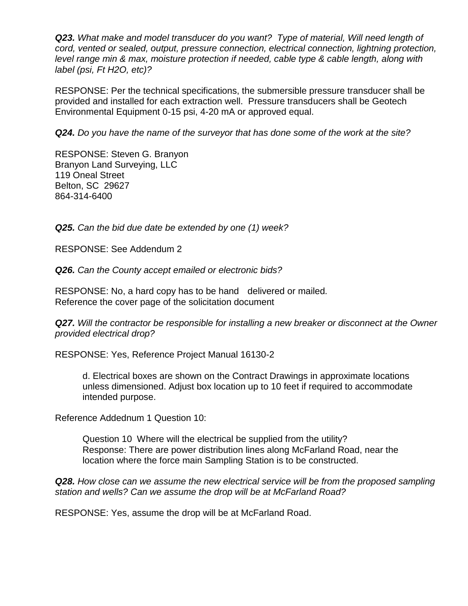*Q23. What make and model transducer do you want? Type of material, Will need length of cord, vented or sealed, output, pressure connection, electrical connection, lightning protection, level range min & max, moisture protection if needed, cable type & cable length, along with label (psi, Ft H2O, etc)?* 

RESPONSE: Per the technical specifications, the submersible pressure transducer shall be provided and installed for each extraction well. Pressure transducers shall be Geotech Environmental Equipment 0-15 psi, 4-20 mA or approved equal.

*Q24. Do you have the name of the surveyor that has done some of the work at the site?* 

RESPONSE: Steven G. Branyon Branyon Land Surveying, LLC 119 Oneal Street Belton, SC 29627 864-314-6400

*Q25. Can the bid due date be extended by one (1) week?* 

RESPONSE: See Addendum 2

*Q26. Can the County accept emailed or electronic bids?* 

RESPONSE: No, a hard copy has to be hand delivered or mailed*.* Reference the cover page of the solicitation document

**Q27.** Will the contractor be responsible for installing a new breaker or disconnect at the Owner *provided electrical drop?* 

RESPONSE: Yes, Reference Project Manual 16130-2

d. Electrical boxes are shown on the Contract Drawings in approximate locations unless dimensioned. Adjust box location up to 10 feet if required to accommodate intended purpose.

Reference Addednum 1 Question 10:

Question 10 Where will the electrical be supplied from the utility? Response: There are power distribution lines along McFarland Road, near the location where the force main Sampling Station is to be constructed.

*Q28. How close can we assume the new electrical service will be from the proposed sampling station and wells? Can we assume the drop will be at McFarland Road?* 

RESPONSE: Yes, assume the drop will be at McFarland Road.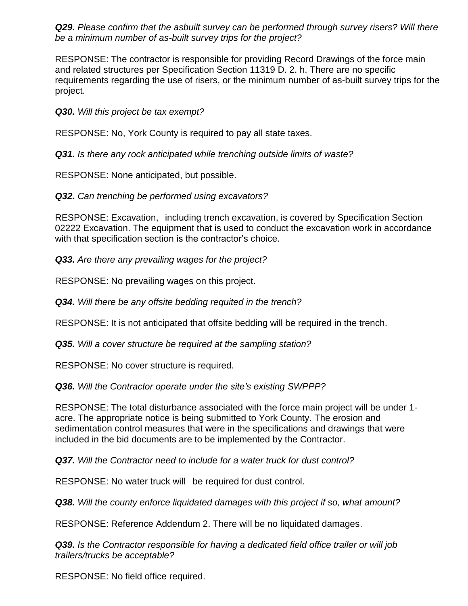*Q29. Please confirm that the asbuilt survey can be performed through survey risers? Will there be a minimum number of as-built survey trips for the project?* 

RESPONSE: The contractor is responsible for providing Record Drawings of the force main and related structures per Specification Section 11319 D. 2. h. There are no specific requirements regarding the use of risers, or the minimum number of as-built survey trips for the project.

*Q30. Will this project be tax exempt?* 

RESPONSE: No, York County is required to pay all state taxes.

*Q31. Is there any rock anticipated while trenching outside limits of waste?*

RESPONSE: None anticipated, but possible.

*Q32. Can trenching be performed using excavators?* 

RESPONSE: Excavation, including trench excavation, is covered by Specification Section 02222 Excavation. The equipment that is used to conduct the excavation work in accordance with that specification section is the contractor's choice.

*Q33. Are there any prevailing wages for the project?* 

RESPONSE: No prevailing wages on this project.

*Q34. Will there be any offsite bedding requited in the trench?* 

RESPONSE: It is not anticipated that offsite bedding will be required in the trench.

*Q35. Will a cover structure be required at the sampling station?* 

RESPONSE: No cover structure is required.

*Q36. Will the Contractor operate under the site's existing SWPPP?* 

RESPONSE: The total disturbance associated with the force main project will be under 1 acre. The appropriate notice is being submitted to York County. The erosion and sedimentation control measures that were in the specifications and drawings that were included in the bid documents are to be implemented by the Contractor.

*Q37. Will the Contractor need to include for a water truck for dust control?* 

RESPONSE: No water truck will be required for dust control.

*Q38. Will the county enforce liquidated damages with this project if so, what amount?* 

RESPONSE: Reference Addendum 2. There will be no liquidated damages.

*Q39. Is the Contractor responsible for having a dedicated field office trailer or will job trailers/trucks be acceptable?* 

RESPONSE: No field office required.